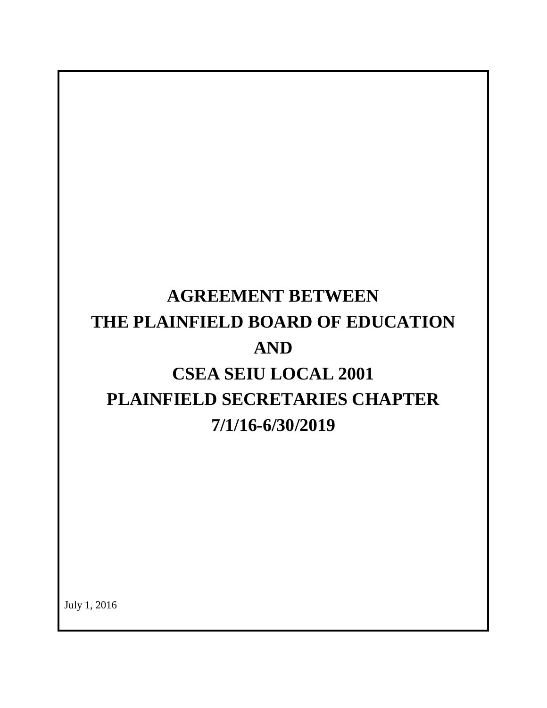# **AGREEMENT BETWEEN THE PLAINFIELD BOARD OF EDUCATION AND CSEA SEIU LOCAL 2001 PLAINFIELD SECRETARIES CHAPTER 7/1/16-6/30/2019**

July 1, 2016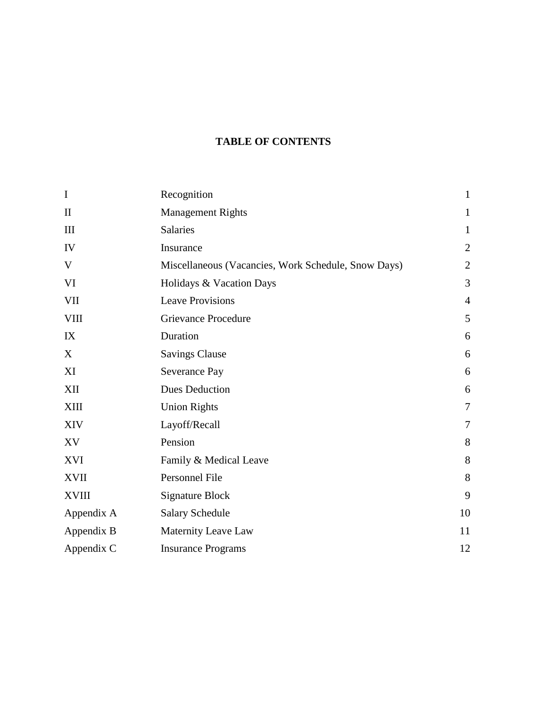# **TABLE OF CONTENTS**

| $\mathbf I$  | Recognition                                         | $\mathbf{1}$   |
|--------------|-----------------------------------------------------|----------------|
| $\mathbf{I}$ | <b>Management Rights</b>                            | $\mathbf{1}$   |
| III          | Salaries                                            | $\mathbf{1}$   |
| IV           | Insurance                                           | $\overline{2}$ |
| V            | Miscellaneous (Vacancies, Work Schedule, Snow Days) | $\overline{2}$ |
| VI           | Holidays & Vacation Days                            | 3              |
| <b>VII</b>   | <b>Leave Provisions</b>                             | $\overline{4}$ |
| <b>VIII</b>  | <b>Grievance Procedure</b>                          | 5              |
| IX           | Duration                                            | 6              |
| X            | <b>Savings Clause</b>                               | 6              |
| XI           | Severance Pay                                       | 6              |
| XII          | <b>Dues Deduction</b>                               | 6              |
| XIII         | <b>Union Rights</b>                                 | $\overline{7}$ |
| <b>XIV</b>   | Layoff/Recall                                       | $\overline{7}$ |
| XV           | Pension                                             | 8              |
| XVI          | Family & Medical Leave                              | 8              |
| <b>XVII</b>  | Personnel File                                      | 8              |
| <b>XVIII</b> | <b>Signature Block</b>                              | 9              |
| Appendix A   | <b>Salary Schedule</b>                              | 10             |
| Appendix B   | Maternity Leave Law                                 | 11             |
| Appendix C   | <b>Insurance Programs</b>                           | 12             |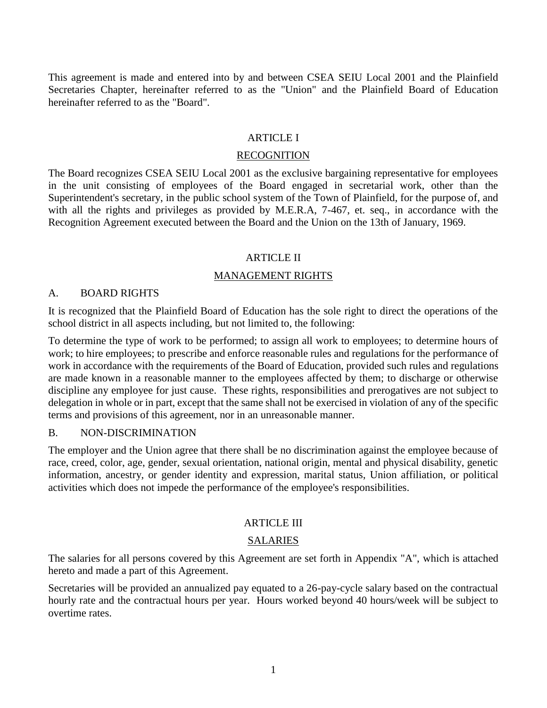This agreement is made and entered into by and between CSEA SEIU Local 2001 and the Plainfield Secretaries Chapter, hereinafter referred to as the "Union" and the Plainfield Board of Education hereinafter referred to as the "Board".

#### ARTICLE I

#### RECOGNITION

The Board recognizes CSEA SEIU Local 2001 as the exclusive bargaining representative for employees in the unit consisting of employees of the Board engaged in secretarial work, other than the Superintendent's secretary, in the public school system of the Town of Plainfield, for the purpose of, and with all the rights and privileges as provided by M.E.R.A, 7-467, et. seq., in accordance with the Recognition Agreement executed between the Board and the Union on the 13th of January, 1969.

#### ARTICLE II

#### MANAGEMENT RIGHTS

#### A. BOARD RIGHTS

It is recognized that the Plainfield Board of Education has the sole right to direct the operations of the school district in all aspects including, but not limited to, the following:

To determine the type of work to be performed; to assign all work to employees; to determine hours of work; to hire employees; to prescribe and enforce reasonable rules and regulations for the performance of work in accordance with the requirements of the Board of Education, provided such rules and regulations are made known in a reasonable manner to the employees affected by them; to discharge or otherwise discipline any employee for just cause. These rights, responsibilities and prerogatives are not subject to delegation in whole or in part, except that the same shall not be exercised in violation of any of the specific terms and provisions of this agreement, nor in an unreasonable manner.

#### B. NON-DISCRIMINATION

The employer and the Union agree that there shall be no discrimination against the employee because of race, creed, color, age, gender, sexual orientation, national origin, mental and physical disability, genetic information, ancestry, or gender identity and expression, marital status, Union affiliation, or political activities which does not impede the performance of the employee's responsibilities.

#### ARTICLE III

#### SALARIES

The salaries for all persons covered by this Agreement are set forth in Appendix "A", which is attached hereto and made a part of this Agreement.

Secretaries will be provided an annualized pay equated to a 26-pay-cycle salary based on the contractual hourly rate and the contractual hours per year. Hours worked beyond 40 hours/week will be subject to overtime rates.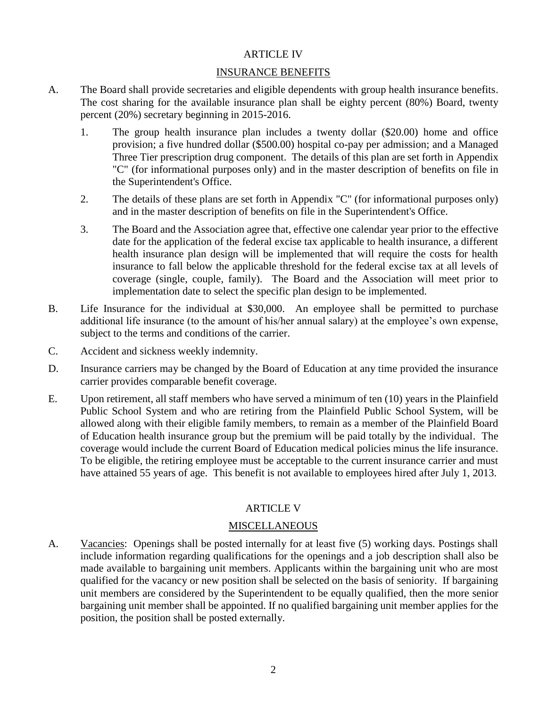#### ARTICLE IV

#### INSURANCE BENEFITS

- A. The Board shall provide secretaries and eligible dependents with group health insurance benefits. The cost sharing for the available insurance plan shall be eighty percent (80%) Board, twenty percent (20%) secretary beginning in 2015-2016.
	- 1. The group health insurance plan includes a twenty dollar (\$20.00) home and office provision; a five hundred dollar (\$500.00) hospital co-pay per admission; and a Managed Three Tier prescription drug component. The details of this plan are set forth in Appendix "C" (for informational purposes only) and in the master description of benefits on file in the Superintendent's Office.
	- 2. The details of these plans are set forth in Appendix "C" (for informational purposes only) and in the master description of benefits on file in the Superintendent's Office.
	- 3. The Board and the Association agree that, effective one calendar year prior to the effective date for the application of the federal excise tax applicable to health insurance, a different health insurance plan design will be implemented that will require the costs for health insurance to fall below the applicable threshold for the federal excise tax at all levels of coverage (single, couple, family). The Board and the Association will meet prior to implementation date to select the specific plan design to be implemented.
- B. Life Insurance for the individual at \$30,000. An employee shall be permitted to purchase additional life insurance (to the amount of his/her annual salary) at the employee's own expense, subject to the terms and conditions of the carrier.
- C. Accident and sickness weekly indemnity.
- D. Insurance carriers may be changed by the Board of Education at any time provided the insurance carrier provides comparable benefit coverage.
- E. Upon retirement, all staff members who have served a minimum of ten (10) years in the Plainfield Public School System and who are retiring from the Plainfield Public School System, will be allowed along with their eligible family members, to remain as a member of the Plainfield Board of Education health insurance group but the premium will be paid totally by the individual. The coverage would include the current Board of Education medical policies minus the life insurance. To be eligible, the retiring employee must be acceptable to the current insurance carrier and must have attained 55 years of age. This benefit is not available to employees hired after July 1, 2013.

#### ARTICLE V

#### **MISCELLANEOUS**

A. Vacancies: Openings shall be posted internally for at least five (5) working days. Postings shall include information regarding qualifications for the openings and a job description shall also be made available to bargaining unit members. Applicants within the bargaining unit who are most qualified for the vacancy or new position shall be selected on the basis of seniority. If bargaining unit members are considered by the Superintendent to be equally qualified, then the more senior bargaining unit member shall be appointed. If no qualified bargaining unit member applies for the position, the position shall be posted externally.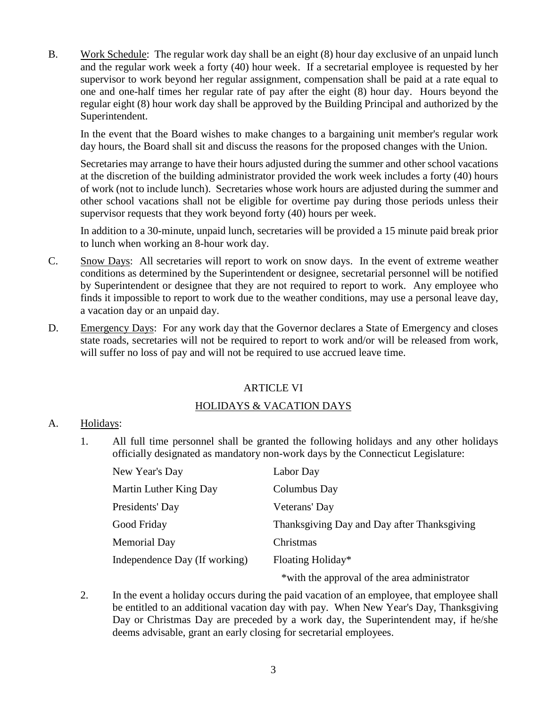B. Work Schedule: The regular work day shall be an eight (8) hour day exclusive of an unpaid lunch and the regular work week a forty (40) hour week. If a secretarial employee is requested by her supervisor to work beyond her regular assignment, compensation shall be paid at a rate equal to one and one-half times her regular rate of pay after the eight (8) hour day. Hours beyond the regular eight (8) hour work day shall be approved by the Building Principal and authorized by the Superintendent.

In the event that the Board wishes to make changes to a bargaining unit member's regular work day hours, the Board shall sit and discuss the reasons for the proposed changes with the Union.

Secretaries may arrange to have their hours adjusted during the summer and other school vacations at the discretion of the building administrator provided the work week includes a forty (40) hours of work (not to include lunch). Secretaries whose work hours are adjusted during the summer and other school vacations shall not be eligible for overtime pay during those periods unless their supervisor requests that they work beyond forty (40) hours per week.

In addition to a 30-minute, unpaid lunch, secretaries will be provided a 15 minute paid break prior to lunch when working an 8-hour work day.

- C. Snow Days: All secretaries will report to work on snow days. In the event of extreme weather conditions as determined by the Superintendent or designee, secretarial personnel will be notified by Superintendent or designee that they are not required to report to work. Any employee who finds it impossible to report to work due to the weather conditions, may use a personal leave day, a vacation day or an unpaid day.
- D. Emergency Days: For any work day that the Governor declares a State of Emergency and closes state roads, secretaries will not be required to report to work and/or will be released from work, will suffer no loss of pay and will not be required to use accrued leave time.

#### ARTICLE VI

#### HOLIDAYS & VACATION DAYS

#### A. Holidays:

1. All full time personnel shall be granted the following holidays and any other holidays officially designated as mandatory non-work days by the Connecticut Legislature:

| New Year's Day                | Labor Day                                    |
|-------------------------------|----------------------------------------------|
| Martin Luther King Day        | Columbus Day                                 |
| Presidents' Day               | Veterans' Day                                |
| Good Friday                   | Thanksgiving Day and Day after Thanksgiving  |
| <b>Memorial Day</b>           | Christmas                                    |
| Independence Day (If working) | Floating Holiday*                            |
|                               | *with the approval of the area administrator |

2. In the event a holiday occurs during the paid vacation of an employee, that employee shall be entitled to an additional vacation day with pay. When New Year's Day, Thanksgiving Day or Christmas Day are preceded by a work day, the Superintendent may, if he/she deems advisable, grant an early closing for secretarial employees.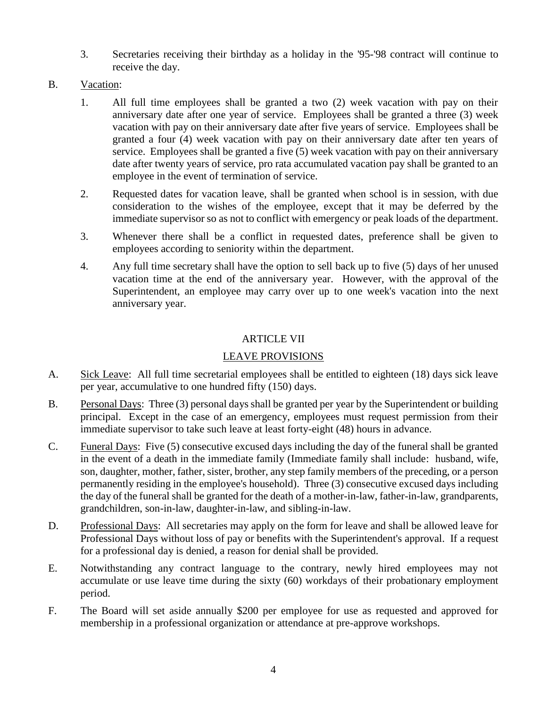- 3. Secretaries receiving their birthday as a holiday in the '95-'98 contract will continue to receive the day.
- B. Vacation:
	- 1. All full time employees shall be granted a two (2) week vacation with pay on their anniversary date after one year of service. Employees shall be granted a three (3) week vacation with pay on their anniversary date after five years of service. Employees shall be granted a four (4) week vacation with pay on their anniversary date after ten years of service. Employees shall be granted a five (5) week vacation with pay on their anniversary date after twenty years of service, pro rata accumulated vacation pay shall be granted to an employee in the event of termination of service.
	- 2. Requested dates for vacation leave, shall be granted when school is in session, with due consideration to the wishes of the employee, except that it may be deferred by the immediate supervisor so as not to conflict with emergency or peak loads of the department.
	- 3. Whenever there shall be a conflict in requested dates, preference shall be given to employees according to seniority within the department.
	- 4. Any full time secretary shall have the option to sell back up to five (5) days of her unused vacation time at the end of the anniversary year. However, with the approval of the Superintendent, an employee may carry over up to one week's vacation into the next anniversary year.

### ARTICLE VII

## LEAVE PROVISIONS

- A. Sick Leave: All full time secretarial employees shall be entitled to eighteen (18) days sick leave per year, accumulative to one hundred fifty (150) days.
- B. Personal Days: Three (3) personal days shall be granted per year by the Superintendent or building principal. Except in the case of an emergency, employees must request permission from their immediate supervisor to take such leave at least forty-eight (48) hours in advance.
- C. Funeral Days: Five (5) consecutive excused days including the day of the funeral shall be granted in the event of a death in the immediate family (Immediate family shall include: husband, wife, son, daughter, mother, father, sister, brother, any step family members of the preceding, or a person permanently residing in the employee's household). Three (3) consecutive excused days including the day of the funeral shall be granted for the death of a mother-in-law, father-in-law, grandparents, grandchildren, son-in-law, daughter-in-law, and sibling-in-law.
- D. Professional Days: All secretaries may apply on the form for leave and shall be allowed leave for Professional Days without loss of pay or benefits with the Superintendent's approval. If a request for a professional day is denied, a reason for denial shall be provided.
- E. Notwithstanding any contract language to the contrary, newly hired employees may not accumulate or use leave time during the sixty (60) workdays of their probationary employment period.
- F. The Board will set aside annually \$200 per employee for use as requested and approved for membership in a professional organization or attendance at pre-approve workshops.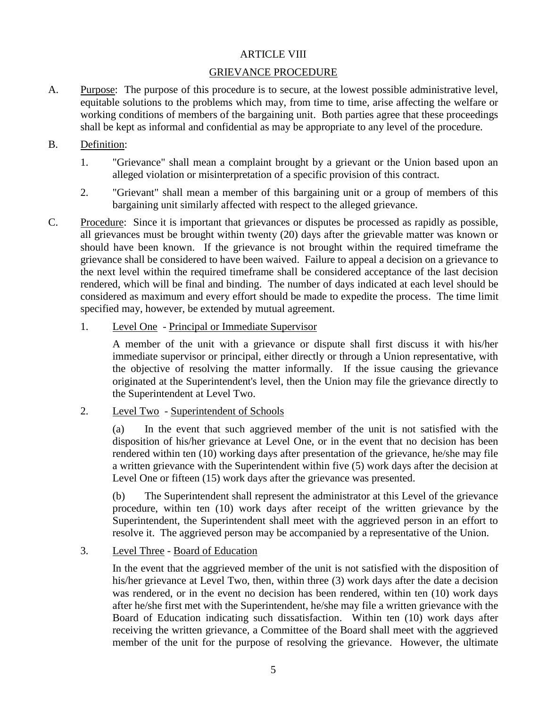#### ARTICLE VIII

#### GRIEVANCE PROCEDURE

A. Purpose: The purpose of this procedure is to secure, at the lowest possible administrative level, equitable solutions to the problems which may, from time to time, arise affecting the welfare or working conditions of members of the bargaining unit. Both parties agree that these proceedings shall be kept as informal and confidential as may be appropriate to any level of the procedure.

#### B. Definition:

- 1. "Grievance" shall mean a complaint brought by a grievant or the Union based upon an alleged violation or misinterpretation of a specific provision of this contract.
- 2. "Grievant" shall mean a member of this bargaining unit or a group of members of this bargaining unit similarly affected with respect to the alleged grievance.
- C. Procedure: Since it is important that grievances or disputes be processed as rapidly as possible, all grievances must be brought within twenty (20) days after the grievable matter was known or should have been known. If the grievance is not brought within the required timeframe the grievance shall be considered to have been waived. Failure to appeal a decision on a grievance to the next level within the required timeframe shall be considered acceptance of the last decision rendered, which will be final and binding. The number of days indicated at each level should be considered as maximum and every effort should be made to expedite the process. The time limit specified may, however, be extended by mutual agreement.
	- 1. Level One Principal or Immediate Supervisor

A member of the unit with a grievance or dispute shall first discuss it with his/her immediate supervisor or principal, either directly or through a Union representative, with the objective of resolving the matter informally. If the issue causing the grievance originated at the Superintendent's level, then the Union may file the grievance directly to the Superintendent at Level Two.

2. Level Two - Superintendent of Schools

(a) In the event that such aggrieved member of the unit is not satisfied with the disposition of his/her grievance at Level One, or in the event that no decision has been rendered within ten (10) working days after presentation of the grievance, he/she may file a written grievance with the Superintendent within five (5) work days after the decision at Level One or fifteen (15) work days after the grievance was presented.

(b) The Superintendent shall represent the administrator at this Level of the grievance procedure, within ten (10) work days after receipt of the written grievance by the Superintendent, the Superintendent shall meet with the aggrieved person in an effort to resolve it. The aggrieved person may be accompanied by a representative of the Union.

#### 3. Level Three - Board of Education

In the event that the aggrieved member of the unit is not satisfied with the disposition of his/her grievance at Level Two, then, within three (3) work days after the date a decision was rendered, or in the event no decision has been rendered, within ten (10) work days after he/she first met with the Superintendent, he/she may file a written grievance with the Board of Education indicating such dissatisfaction. Within ten (10) work days after receiving the written grievance, a Committee of the Board shall meet with the aggrieved member of the unit for the purpose of resolving the grievance. However, the ultimate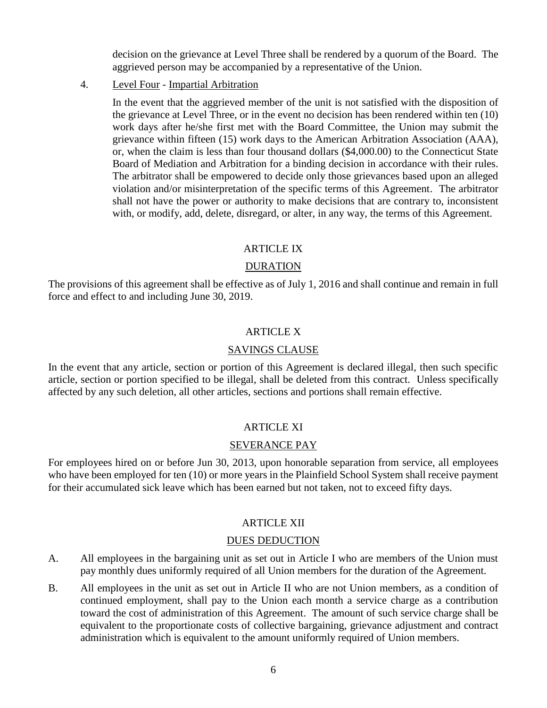decision on the grievance at Level Three shall be rendered by a quorum of the Board. The aggrieved person may be accompanied by a representative of the Union.

#### 4. Level Four - Impartial Arbitration

In the event that the aggrieved member of the unit is not satisfied with the disposition of the grievance at Level Three, or in the event no decision has been rendered within ten (10) work days after he/she first met with the Board Committee, the Union may submit the grievance within fifteen (15) work days to the American Arbitration Association (AAA), or, when the claim is less than four thousand dollars (\$4,000.00) to the Connecticut State Board of Mediation and Arbitration for a binding decision in accordance with their rules. The arbitrator shall be empowered to decide only those grievances based upon an alleged violation and/or misinterpretation of the specific terms of this Agreement. The arbitrator shall not have the power or authority to make decisions that are contrary to, inconsistent with, or modify, add, delete, disregard, or alter, in any way, the terms of this Agreement.

#### ARTICLE IX

#### DURATION

The provisions of this agreement shall be effective as of July 1, 2016 and shall continue and remain in full force and effect to and including June 30, 2019.

#### ARTICLE X

#### SAVINGS CLAUSE

In the event that any article, section or portion of this Agreement is declared illegal, then such specific article, section or portion specified to be illegal, shall be deleted from this contract. Unless specifically affected by any such deletion, all other articles, sections and portions shall remain effective.

#### ARTICLE XI

#### SEVERANCE PAY

For employees hired on or before Jun 30, 2013, upon honorable separation from service, all employees who have been employed for ten (10) or more years in the Plainfield School System shall receive payment for their accumulated sick leave which has been earned but not taken, not to exceed fifty days.

#### ARTICLE XII

#### DUES DEDUCTION

- A. All employees in the bargaining unit as set out in Article I who are members of the Union must pay monthly dues uniformly required of all Union members for the duration of the Agreement.
- B. All employees in the unit as set out in Article II who are not Union members, as a condition of continued employment, shall pay to the Union each month a service charge as a contribution toward the cost of administration of this Agreement. The amount of such service charge shall be equivalent to the proportionate costs of collective bargaining, grievance adjustment and contract administration which is equivalent to the amount uniformly required of Union members.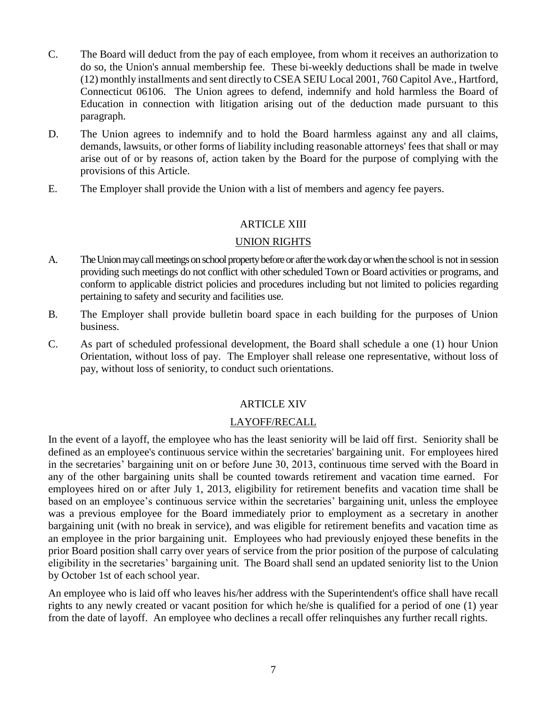- C. The Board will deduct from the pay of each employee, from whom it receives an authorization to do so, the Union's annual membership fee. These bi-weekly deductions shall be made in twelve (12) monthly installments and sent directly to CSEA SEIU Local 2001, 760 Capitol Ave., Hartford, Connecticut 06106. The Union agrees to defend, indemnify and hold harmless the Board of Education in connection with litigation arising out of the deduction made pursuant to this paragraph.
- D. The Union agrees to indemnify and to hold the Board harmless against any and all claims, demands, lawsuits, or other forms of liability including reasonable attorneys' fees that shall or may arise out of or by reasons of, action taken by the Board for the purpose of complying with the provisions of this Article.
- E. The Employer shall provide the Union with a list of members and agency fee payers.

#### ARTICLE XIII

#### UNION RIGHTS

- A. The Union may call meetings on school property before or after the work day or when the school is not in session providing such meetings do not conflict with other scheduled Town or Board activities or programs, and conform to applicable district policies and procedures including but not limited to policies regarding pertaining to safety and security and facilities use.
- B. The Employer shall provide bulletin board space in each building for the purposes of Union business.
- C. As part of scheduled professional development, the Board shall schedule a one (1) hour Union Orientation, without loss of pay. The Employer shall release one representative, without loss of pay, without loss of seniority, to conduct such orientations.

#### ARTICLE XIV

#### LAYOFF/RECALL

In the event of a layoff, the employee who has the least seniority will be laid off first. Seniority shall be defined as an employee's continuous service within the secretaries' bargaining unit. For employees hired in the secretaries' bargaining unit on or before June 30, 2013, continuous time served with the Board in any of the other bargaining units shall be counted towards retirement and vacation time earned. For employees hired on or after July 1, 2013, eligibility for retirement benefits and vacation time shall be based on an employee's continuous service within the secretaries' bargaining unit, unless the employee was a previous employee for the Board immediately prior to employment as a secretary in another bargaining unit (with no break in service), and was eligible for retirement benefits and vacation time as an employee in the prior bargaining unit. Employees who had previously enjoyed these benefits in the prior Board position shall carry over years of service from the prior position of the purpose of calculating eligibility in the secretaries' bargaining unit. The Board shall send an updated seniority list to the Union by October 1st of each school year.

An employee who is laid off who leaves his/her address with the Superintendent's office shall have recall rights to any newly created or vacant position for which he/she is qualified for a period of one (1) year from the date of layoff. An employee who declines a recall offer relinquishes any further recall rights.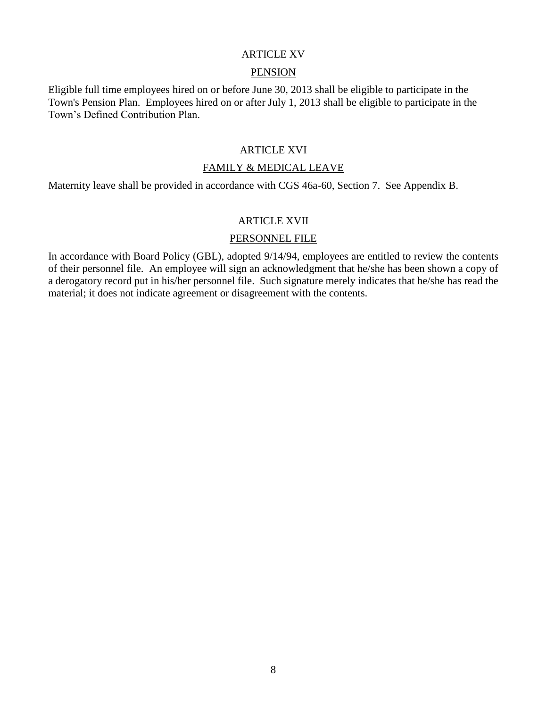#### ARTICLE XV

#### **PENSION**

Eligible full time employees hired on or before June 30, 2013 shall be eligible to participate in the Town's Pension Plan. Employees hired on or after July 1, 2013 shall be eligible to participate in the Town's Defined Contribution Plan.

#### ARTICLE XVI

#### FAMILY & MEDICAL LEAVE

Maternity leave shall be provided in accordance with CGS 46a-60, Section 7. See Appendix B.

#### ARTICLE XVII

#### PERSONNEL FILE

In accordance with Board Policy (GBL), adopted 9/14/94, employees are entitled to review the contents of their personnel file. An employee will sign an acknowledgment that he/she has been shown a copy of a derogatory record put in his/her personnel file. Such signature merely indicates that he/she has read the material; it does not indicate agreement or disagreement with the contents.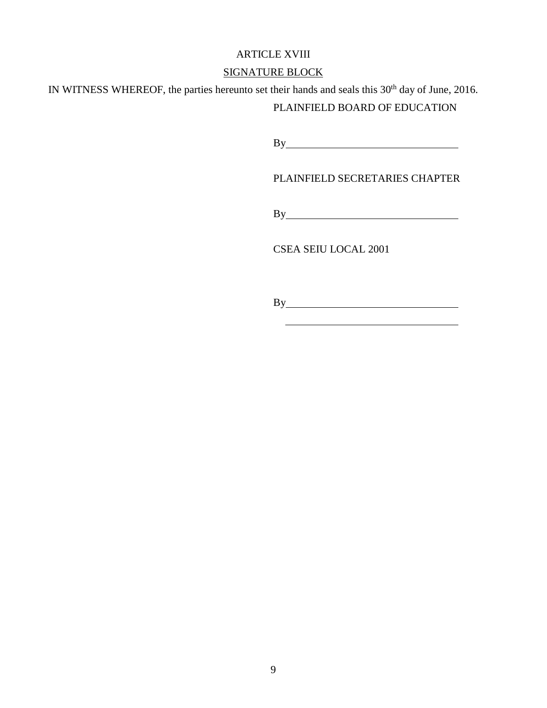#### ARTICLE XVIII

# SIGNATURE BLOCK

IN WITNESS WHEREOF, the parties hereunto set their hands and seals this 30<sup>th</sup> day of June, 2016.

# PLAINFIELD BOARD OF EDUCATION

By

PLAINFIELD SECRETARIES CHAPTER

By

CSEA SEIU LOCAL 2001

By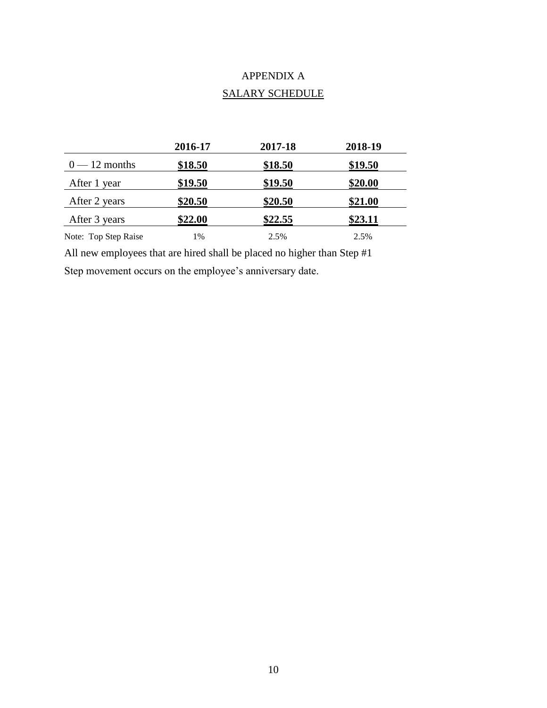# APPENDIX A SALARY SCHEDULE

|                      | 2016-17 | 2017-18 | 2018-19 |
|----------------------|---------|---------|---------|
| $0 - 12$ months      | \$18.50 | \$18.50 | \$19.50 |
| After 1 year         | \$19.50 | \$19.50 | \$20.00 |
| After 2 years        | \$20.50 | \$20.50 | \$21.00 |
| After 3 years        | \$22.00 | \$22.55 | \$23.11 |
| Note: Top Step Raise | 1%      | 2.5%    | 2.5%    |

All new employees that are hired shall be placed no higher than Step #1 Step movement occurs on the employee's anniversary date.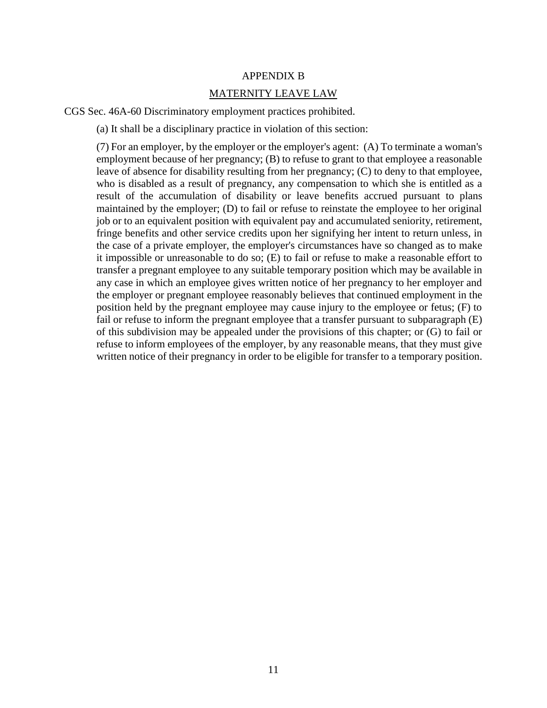#### APPENDIX B

#### MATERNITY LEAVE LAW

CGS Sec. 46A-60 Discriminatory employment practices prohibited.

(a) It shall be a disciplinary practice in violation of this section:

(7) For an employer, by the employer or the employer's agent: (A) To terminate a woman's employment because of her pregnancy; (B) to refuse to grant to that employee a reasonable leave of absence for disability resulting from her pregnancy; (C) to deny to that employee, who is disabled as a result of pregnancy, any compensation to which she is entitled as a result of the accumulation of disability or leave benefits accrued pursuant to plans maintained by the employer; (D) to fail or refuse to reinstate the employee to her original job or to an equivalent position with equivalent pay and accumulated seniority, retirement, fringe benefits and other service credits upon her signifying her intent to return unless, in the case of a private employer, the employer's circumstances have so changed as to make it impossible or unreasonable to do so; (E) to fail or refuse to make a reasonable effort to transfer a pregnant employee to any suitable temporary position which may be available in any case in which an employee gives written notice of her pregnancy to her employer and the employer or pregnant employee reasonably believes that continued employment in the position held by the pregnant employee may cause injury to the employee or fetus; (F) to fail or refuse to inform the pregnant employee that a transfer pursuant to subparagraph (E) of this subdivision may be appealed under the provisions of this chapter; or (G) to fail or refuse to inform employees of the employer, by any reasonable means, that they must give written notice of their pregnancy in order to be eligible for transfer to a temporary position.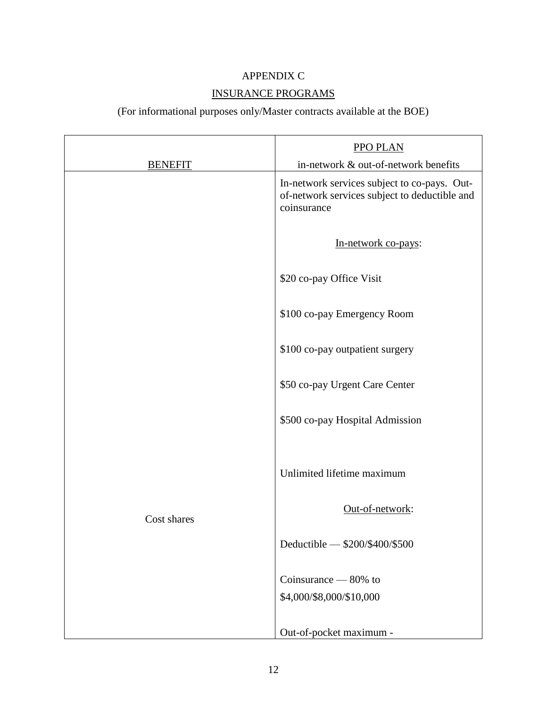# APPENDIX C

# INSURANCE PROGRAMS

# (For informational purposes only/Master contracts available at the BOE)

|                | <b>PPO PLAN</b>                                                                                              |
|----------------|--------------------------------------------------------------------------------------------------------------|
| <b>BENEFIT</b> | in-network & out-of-network benefits                                                                         |
|                | In-network services subject to co-pays. Out-<br>of-network services subject to deductible and<br>coinsurance |
|                | In-network co-pays:                                                                                          |
|                | \$20 co-pay Office Visit                                                                                     |
|                | \$100 co-pay Emergency Room                                                                                  |
|                | \$100 co-pay outpatient surgery                                                                              |
|                | \$50 co-pay Urgent Care Center                                                                               |
|                | \$500 co-pay Hospital Admission                                                                              |
|                | Unlimited lifetime maximum                                                                                   |
| Cost shares    | Out-of-network:                                                                                              |
|                | Deductible - \$200/\$400/\$500                                                                               |
|                | Coinsurance $-80\%$ to                                                                                       |
|                | \$4,000/\$8,000/\$10,000                                                                                     |
|                | Out-of-pocket maximum -                                                                                      |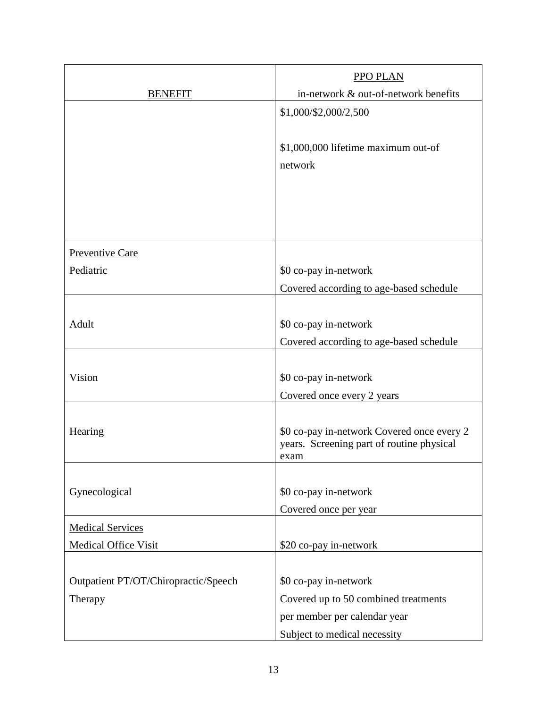|                                                 | PPO PLAN                                                                                                                      |
|-------------------------------------------------|-------------------------------------------------------------------------------------------------------------------------------|
| <b>BENEFIT</b>                                  | in-network & out-of-network benefits                                                                                          |
|                                                 | \$1,000/\$2,000/2,500                                                                                                         |
|                                                 | \$1,000,000 lifetime maximum out-of<br>network                                                                                |
|                                                 |                                                                                                                               |
| <b>Preventive Care</b>                          |                                                                                                                               |
| Pediatric                                       | \$0 co-pay in-network                                                                                                         |
|                                                 | Covered according to age-based schedule                                                                                       |
| Adult                                           | \$0 co-pay in-network<br>Covered according to age-based schedule                                                              |
| Vision                                          | \$0 co-pay in-network<br>Covered once every 2 years                                                                           |
| Hearing                                         | \$0 co-pay in-network Covered once every 2<br>years. Screening part of routine physical<br>exam                               |
| Gynecological                                   | \$0 co-pay in-network<br>Covered once per year                                                                                |
| <b>Medical Services</b>                         |                                                                                                                               |
| Medical Office Visit                            | \$20 co-pay in-network                                                                                                        |
| Outpatient PT/OT/Chiropractic/Speech<br>Therapy | \$0 co-pay in-network<br>Covered up to 50 combined treatments<br>per member per calendar year<br>Subject to medical necessity |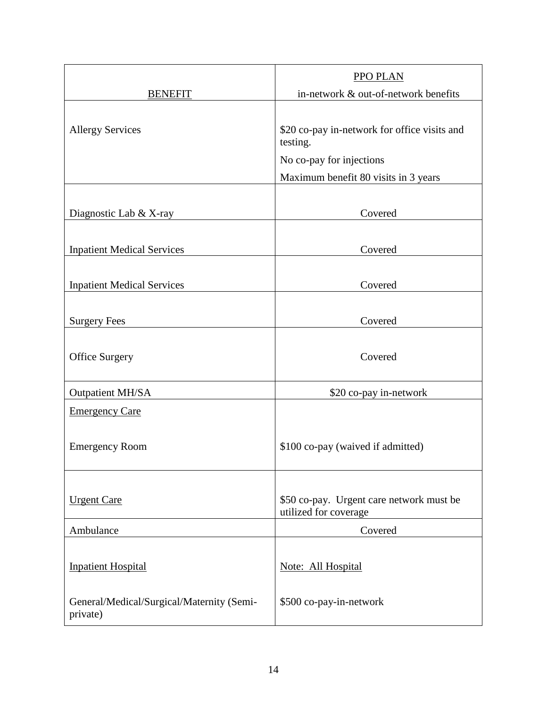|                                                       | <b>PPO PLAN</b>                                                                      |
|-------------------------------------------------------|--------------------------------------------------------------------------------------|
| <b>BENEFIT</b>                                        | in-network & out-of-network benefits                                                 |
| <b>Allergy Services</b>                               | \$20 co-pay in-network for office visits and<br>testing.<br>No co-pay for injections |
|                                                       | Maximum benefit 80 visits in 3 years                                                 |
| Diagnostic Lab & X-ray                                | Covered                                                                              |
| <b>Inpatient Medical Services</b>                     | Covered                                                                              |
| <b>Inpatient Medical Services</b>                     | Covered                                                                              |
| <b>Surgery Fees</b>                                   | Covered                                                                              |
| <b>Office Surgery</b>                                 | Covered                                                                              |
| <b>Outpatient MH/SA</b>                               | \$20 co-pay in-network                                                               |
| <b>Emergency Care</b>                                 |                                                                                      |
| <b>Emergency Room</b>                                 | \$100 co-pay (waived if admitted)                                                    |
| <b>Urgent Care</b>                                    | \$50 co-pay. Urgent care network must be<br>utilized for coverage                    |
| Ambulance                                             | Covered                                                                              |
| <b>Inpatient Hospital</b>                             | Note: All Hospital                                                                   |
| General/Medical/Surgical/Maternity (Semi-<br>private) | \$500 co-pay-in-network                                                              |